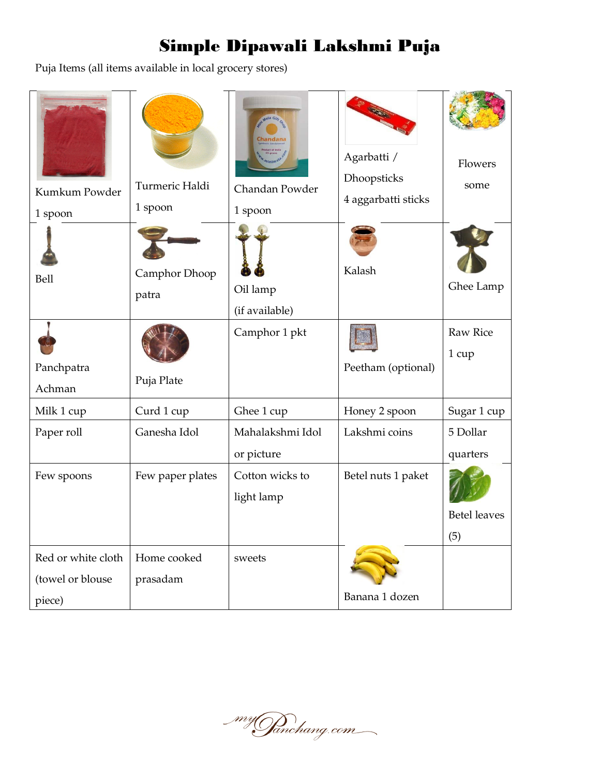Puja Items (all items available in local grocery stores)

| Kumkum Powder<br>1 spoon                         | Turmeric Haldi<br>1 spoon | Chandan Powder<br>1 spoon      | Agarbatti /<br>Dhoopsticks<br>4 aggarbatti sticks | Flowers<br>some            |
|--------------------------------------------------|---------------------------|--------------------------------|---------------------------------------------------|----------------------------|
| Bell                                             | Camphor Dhoop<br>patra    | Oil lamp<br>(if available)     | Kalash                                            | Ghee Lamp                  |
| Panchpatra<br>Achman                             | Puja Plate                | Camphor 1 pkt                  | Peetham (optional)                                | <b>Raw Rice</b><br>1 cup   |
| Milk 1 cup                                       | Curd 1 cup                | Ghee 1 cup                     | Honey 2 spoon                                     | Sugar 1 cup                |
| Paper roll                                       | Ganesha Idol              | Mahalakshmi Idol<br>or picture | Lakshmi coins                                     | 5 Dollar<br>quarters       |
| Few spoons                                       | Few paper plates          | Cotton wicks to<br>light lamp  | Betel nuts 1 paket                                | <b>Betel leaves</b><br>(5) |
| Red or white cloth<br>(towel or blouse<br>piece) | Home cooked<br>prasadam   | sweets                         | Banana 1 dozen                                    |                            |

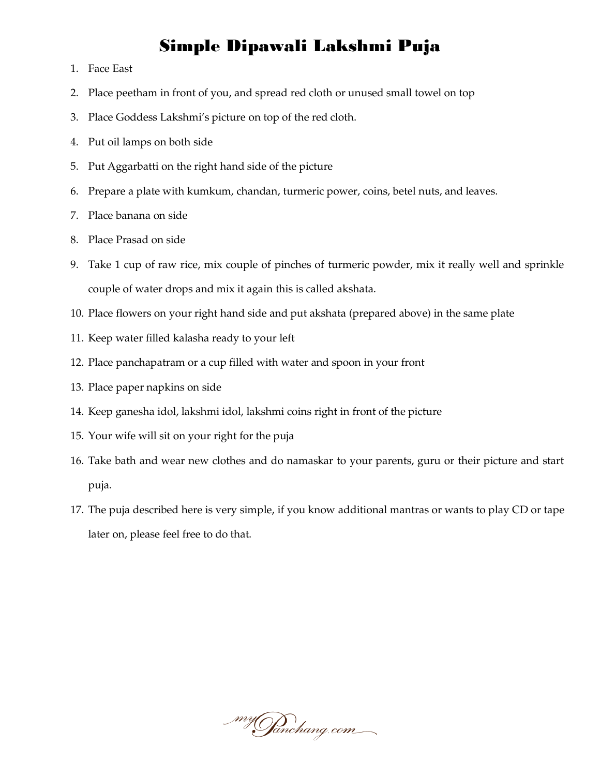- 1. Face East
- 2. Place peetham in front of you, and spread red cloth or unused small towel on top
- 3. Place Goddess Lakshmi's picture on top of the red cloth.
- 4. Put oil lamps on both side
- 5. Put Aggarbatti on the right hand side of the picture
- 6. Prepare a plate with kumkum, chandan, turmeric power, coins, betel nuts, and leaves.
- 7. Place banana on side
- 8. Place Prasad on side
- 9. Take 1 cup of raw rice, mix couple of pinches of turmeric powder, mix it really well and sprinkle couple of water drops and mix it again this is called akshata.
- 10. Place flowers on your right hand side and put akshata (prepared above) in the same plate
- 11. Keep water filled kalasha ready to your left
- 12. Place panchapatram or a cup filled with water and spoon in your front
- 13. Place paper napkins on side
- 14. Keep ganesha idol, lakshmi idol, lakshmi coins right in front of the picture
- 15. Your wife will sit on your right for the puja
- 16. Take bath and wear new clothes and do namaskar to your parents, guru or their picture and start puja.
- 17. The puja described here is very simple, if you know additional mantras or wants to play CD or tape later on, please feel free to do that.

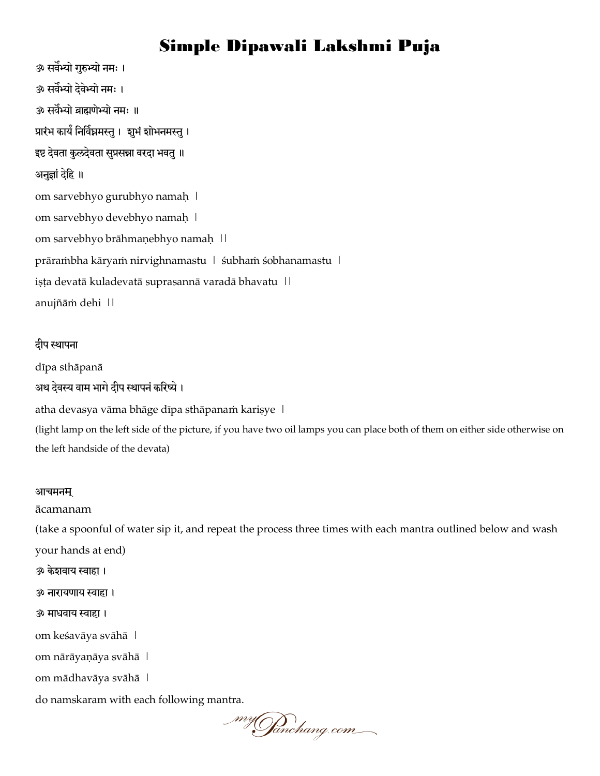ॐ सर्वेभ्यो गुरुभ्यो नमः । ॐ सर्वेभ्यो देवेभ्यो नमः । ॐ सर्वेभ्यो ब्राह्मणेभ्यो नमः ॥ प्रारंभ कार्यं निर्विघ्नमस्तु । शुभं शोभनमस्तु । इष्ट देवता कुलदेवता सुप्रसन्ना वरदा भवतु ॥ अनुज्ञां देहि ॥ om sarvebhyo gurubhyo namaḥ | om sarvebhyo devebhyo namaḥ | om sarvebhyo brāhmaṇebhyo namaḥ || prārambha kāryam nirvighnamastu | śubham śobhanamastu | iṣṭa devatā kuladevatā suprasannā varadā bhavatu || anujñāṁ dehi ||

#### दीप स्थापना

dīpa sthāpanā

अथ देवस्य वाम भागे दीप स्थापनं करिष्ये ।

atha devasya vāma bhāge dīpa sthāpanam kariṣye |

(light lamp on the left side of the picture, if you have two oil lamps you can place both of them on either side otherwise on the left handside of the devata)

#### आचमनम्

#### ācamanam

(take a spoonful of water sip it, and repeat the process three times with each mantra outlined below and wash your hands at end)

ॐ केशर्वाम स्वाहा ।

ॐ नायामणाम स्वाहा ।

#### ॐ भाधर्वाम स्वाहा ।

om keśavāya svāhā |

om nārāyaṇāya svāhā |

om mādhavāya svāhā |

do namskaram with each following mantra.

\_myGanchang.com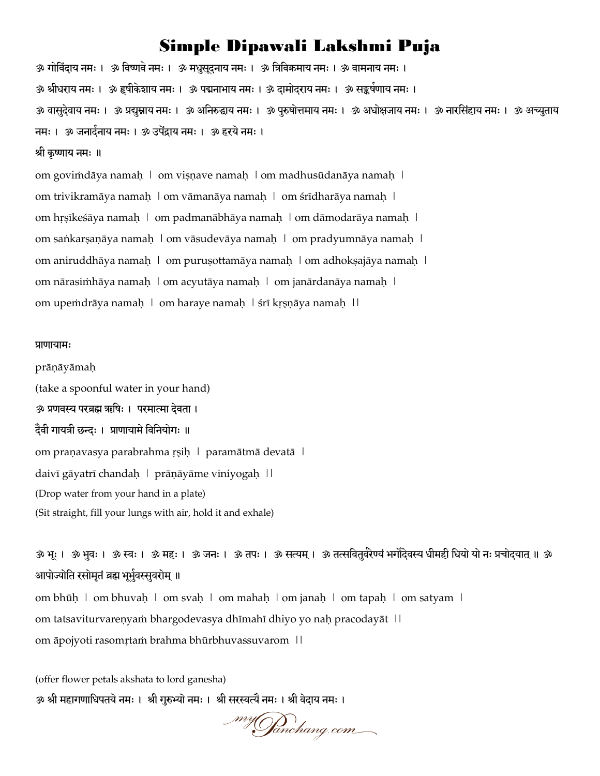ॐ गोविंदाय नमः । ॐ विष्णवे नमः । ॐ मधुसूदुनाय नमः । ॐ त्रिविक्रमाय नमः । ॐ वामनाय नमः । ॐ श्रीधराय नमः । ॐ हृषीकेशाय नमः । ॐ पद्मनाभाय नमः । ॐ दामोदराय नमः । ॐ सङ्कर्षणाय नमः । ॐ वासुदेवाय नमः । ॐ प्रद्युम्नाय नमः । ॐ अनिरुद्धाय नमः । ॐ पुरुषोत्तमाय नमः । ॐ अधोक्षजाय नमः । ॐ अच्युताय नमः । ॐ जनार्दनाय नमः । ॐ उपेंद्राय नमः । ॐ हरये नमः । श्री कृष्णाम नभ् ॥ om goviṁdāya namaḥ | om viṣṇave namaḥ | om madhusūdanāya namaḥ |

om trivikramāya namaḥ | om vāmanāya namaḥ | om śrīdharāya namaḥ | om hṛṣīkeśāya namaḥ | om padmanābhāya namaḥ | om dāmodarāya namaḥ | om saṅkarṣaṇāya namaḥ | om vāsudevāya namaḥ | om pradyumnāya namaḥ | om aniruddhāya namaḥ | om puruṣottamāya namaḥ | om adhokṣajāya namaḥ | om nārasiṁhāya namaḥ | om acyutāya namaḥ | om janārdanāya namaḥ | om upeṁdrāya namaḥ | om haraye namaḥ | śrī kṛṣṇāya namaḥ ||

#### प्राणायामः

prāṇāyāmaḥ (take a spoonful water in your hand) ॐ प्रणवस्य परब्रह्म ऋषिः । परमात्मा देवता । दैवी गायत्री छन्दः । प्राणायामे विनियोगः ॥ om praṇavasya parabrahma ṛṣiḥ | paramātmā devatā | daivī gāyatrī chandaḥ | prāṇāyāme viniyogaḥ || (Drop water from your hand in a plate) (Sit straight, fill your lungs with air, hold it and exhale)

ॐ भूः । ॐ भुवः । ॐ स्वः । ॐ महः । ॐ जनः । ॐ तपः । ॐ सत्यम् । ॐ तत्सवितुर्वरेण्यं भर्गोदेवस्य धीमही धियो यो नः प्रचोदयात् ॥ ॐ आपोज्योति रसोमृतं ब्रह्म भूर्भुवस्सुवरोम् ॥

om bhūḥ | om bhuvaḥ | om svaḥ | om mahaḥ | om janaḥ | om tapaḥ | om satyam | om tatsaviturvareṇyaṁ bhargodevasya dhīmahī dhiyo yo naḥ pracodayāt | | om āpojyoti rasomṛtaṁ brahma bhūrbhuvassuvarom ||

(offer flower petals akshata to lord ganesha) ॐ श्री महागणाधिपतये नमः । श्री गुरुभ्यो नमः । श्री सरस्वत्यै नमः । श्री वेदाय नमः ।

\_myOanchang.com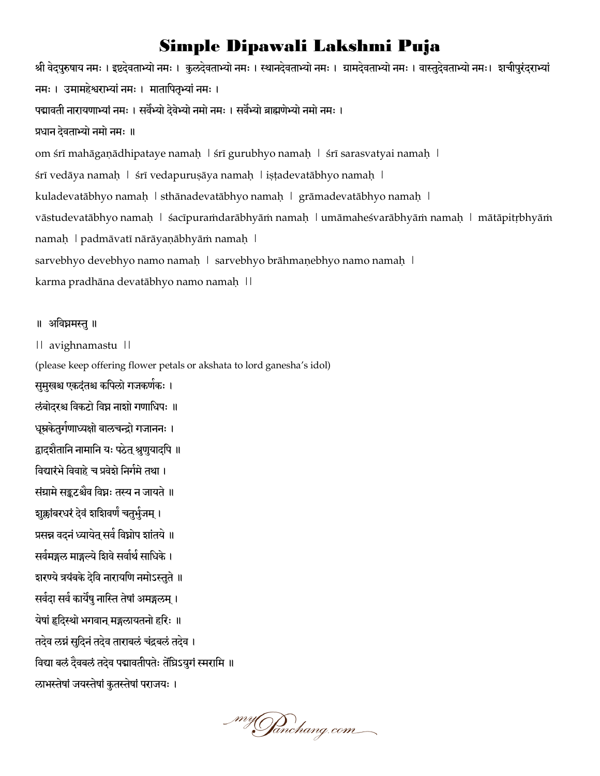श्री वेदपुरुषाय नमः । इष्टदेवताभ्यो नमः । कुलदेवताभ्यो नमः । स्थानदेवताभ्यो नमः । ग्रामदेवताभ्यो नमः। भाचापुरंदराभ्यां नमः । उमामहेश्वराभ्यां नमः । मातापितृभ्यां नमः । पद्मावती नारायणाभ्यां नमः । सर्वेभ्यो देवेभ्यो नमो नमः । सर्वेभ्यो ब्राह्मणेभ्यो नमो नमः । प्रधान देवताभ्यो नमो नमः ॥ om śrī mahāgaṇādhipataye namaḥ | śrī gurubhyo namaḥ | śrī sarasvatyai namaḥ | śrī vedāya namaḥ | śrī vedapuruṣāya namaḥ | iṣṭadevatābhyo namaḥ | kuladevatābhyo namaḥ | sthānadevatābhyo namaḥ | grāmadevatābhyo namaḥ | vāstudevatābhyo namaḥ | śacīpuraṁdarābhyāṁ namaḥ | umāmaheśvarābhyāṁ namaḥ | mātāpitṛbhyāṁ namaḥ | padmāvatī nārāyaṇābhyāṁ namaḥ | sarvebhyo devebhyo namo namaḥ | sarvebhyo brāhmaṇebhyo namo namaḥ | karma pradhāna devatābhyo namo namaḥ ||

#### ॥ अनर्वघ्नभस्तु॥

|| avighnamastu ||

(please keep offering flower petals or akshata to lord ganesha's idol)

सुमुखश्च एकदंतश्च कपिलो गजकर्णकः ।

रुंबोदरश्च विकटो विघ्न नाशो गणाधिपः ॥

धूम्रकेतुर्गणाध्यक्षो बालचन्द्रो गजाननः ।

द्वादशैतानि नामानि यः पठेत् श्रुणुयादपि ॥

विद्यारंभे विवाहे च प्रवेशे निर्गमे तथा ।

संग्रामे सङ्कटश्चैव विघ्नः तस्य न जायते ॥

शुक्लांबरधरं देवं शशिवर्णं चतुर्भुजम् ।

प्रसन्न वदनं ध्यायेत् सर्व विघ्नोप शांतये ॥

सर्वमङ्गल माङ्गल्ये शिवे सर्वार्थे साधिके।

शरण्ये त्रयंबके देवि नारायणि नमोऽस्तुते ॥

सर्वदा सर्व कार्येषु नास्ति तेषां अमङ्गलम् ।

येषां हृदिस्थो भगवान् मङ्गलायतनो हरिः ॥

तदेव लग्नं सुदिनं तदेव ताराबलं चंद्रबलं तदेव ।

विद्या बलं दैवबलं तदेव पद्मावतीपतेः तेंघ्रिऽयुगं स्मरामि ॥

लाभस्तेषां जयस्तेषां कुतस्तेषां पराजयः ।

\_myGanchang.com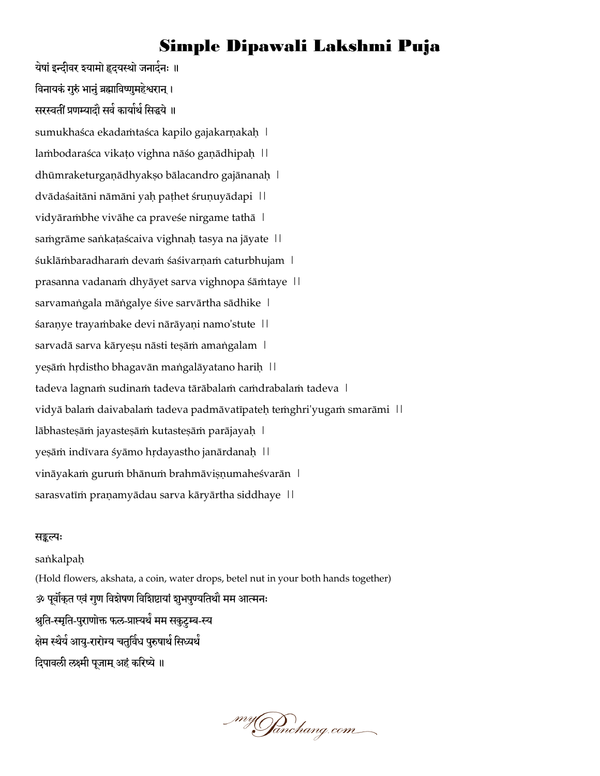येषां इन्दीवर इयामो हृदयस्थो जनार्दनः ॥ विनायकं गुरुं भानुं ब्रह्माविष्णुमहेश्वरान् । सरस्वतीं प्रणम्यादौ सर्व कार्यार्थ सिद्धये ॥ sumukhaśca ekadamtaśca kapilo gajakarṇakaḥ | laṁbodaraśca vikaṭo vighna nāśo gaṇādhipaḥ || dhūmraketurgaṇādhyakṣo bālacandro gajānanaḥ | dvādaśaitāni nāmāni yaḥ paṭhet śruṇuyādapi || vidyāraṁbhe vivāhe ca praveśe nirgame tathā | samgrāme saṅkaṭaścaiva vighnaḥ tasya na jāyate | | śuklāṁbaradharaṁ devaṁ śaśivarṇaṁ caturbhujam | prasanna vadanaṁ dhyāyet sarva vighnopa śāṁtaye || sarvamaṅgala māṅgalye śive sarvārtha sādhike | śaraṇye trayaṁbake devi nārāyaṇi namo'stute || sarvadā sarva kāryeṣu nāsti teṣāṁ amaṅgalam | yeṣāṁ hṛdistho bhagavān maṅgalāyatano hariḥ || tadeva lagnaṁ sudinaṁ tadeva tārābalaṁ caṁdrabalaṁ tadeva | vidyā balam daivabalam tadeva padmāvatīpateḥ temghri'yugam smarāmi || lābhasteṣāṁ jayasteṣāṁ kutasteṣāṁ parājayaḥ | yeṣāṁ indīvara śyāmo hṛdayastho janārdanaḥ || vināyakam gurum bhānum brahmāviṣṇumaheśvarān | sarasvatīm praṇamyādau sarva kāryārtha siddhaye | |

#### सङ्कल्पः

saṅkalpaḥ (Hold flowers, akshata, a coin, water drops, betel nut in your both hands together) ॐ पूर्वोकुत एवं गुण विशेषण विशिष्टायां शुभपुण्यतिथौ मम आत्मनः श्रुति-स्मृति-पुराणोक्त फल-प्राप्त्यर्थं मम सकुटम्ब-स्य क्षेम स्थैर्य आयु-रारोग्य चतुर्विध पुरुषार्थ सिध्यर्थं दिपावली लक्ष्मी पूजाम् अहं करिष्ये ॥

\_myGanchang.com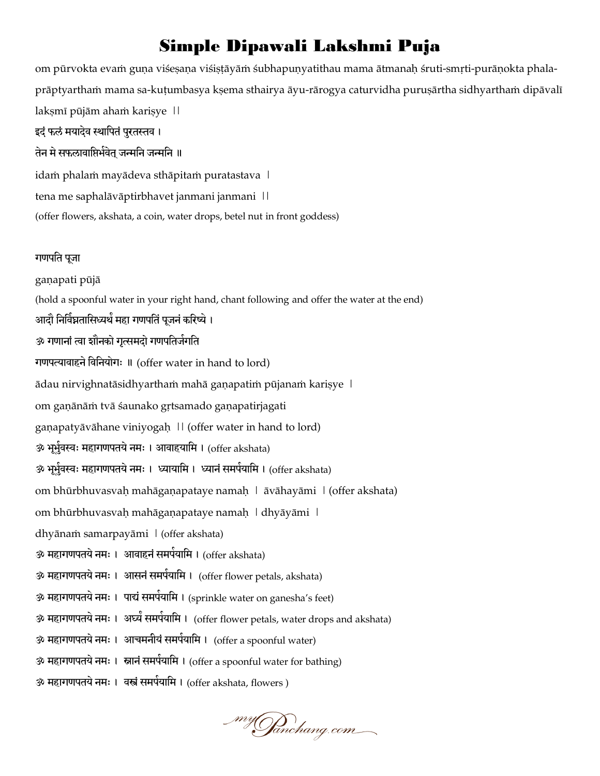om pūrvokta evaṁ guṇa viśeṣaṇa viśiṣṭāyāṁ śubhapuṇyatithau mama ātmanaḥ śruti-smṛti-purāṇokta phalaprāptyarthaṁ mama sa-kuṭumbasya kṣema sthairya āyu-rārogya caturvidha puruṣārtha sidhyarthaṁ dipāvalī laksmī pūjām aham karisye || इदं फलं मयादेव स्थापितं पुरतस्तव । तेन मे सफलावाप्तिर्भवेत जन्मनि जन्मनि ॥ idam phalam mayādeva sthāpitam puratastava | tena me saphalāvāptirbhavet janmani janmani || (offer flowers, akshata, a coin, water drops, betel nut in front goddess) गणपति पूजा gaṇapati pūjā (hold a spoonful water in your right hand, chant following and offer the water at the end) आदौ निर्विघ्नतासिध्यर्थं महा गणपतिं पूजनं करिष्ये । ॐ गणानां त्वा शौनको गृत्समदो गणपतिर्जगति गणपत्यावाहने विनियोगः ॥ (offer water in hand to lord) ādau nirvighnatāsidhyarthaṁ mahā gaṇapatiṁ pūjanaṁ kariṣye | om gaṇānāṁ tvā śaunako gṛtsamado gaṇapatirjagati ganapatyāvāhane viniyogah || (offer water in hand to lord) ॐ भूर्भुवस्वः महागणपतये नमः । आवाहयामि । (offer akshata) ॐ भूर्भुवस्वः महागणपतये नमः । ध्यायामि । ध्यानं समर्पयामि । (offer akshata) om bhūrbhuvasvaḥ mahāgaṇapataye namaḥ | āvāhayāmi | (offer akshata) om bhūrbhuvasvaḥ mahāgaṇapataye namaḥ | dhyāyāmi | dhyānaṁ samarpayāmi | (offer akshata) ॐ महागणपतये नमः । आवाहनं समर्पयामि । (offer akshata) ॐ महागणपतये नमः । आसनं समर्पयामि । (offer flower petals, akshata) ॐ महागणपतये नमः । पाद्यं समर्पयामि । (sprinkle water on ganesha's feet) ॐ महागणपतये नमः । अर्घ्यं समर्पयामि । (offer flower petals, water drops and akshata) ॐ महागणपतये नमः । आचमनीयं समर्पयामि । (offer a spoonful water) ॐ महागणपतये नमः । स्नानं समर्पयामि । (offer a spoonful water for bathing) ॐ महागणपतये नमः । वस्त्रं समर्पयामि । (offer akshata, flowers )

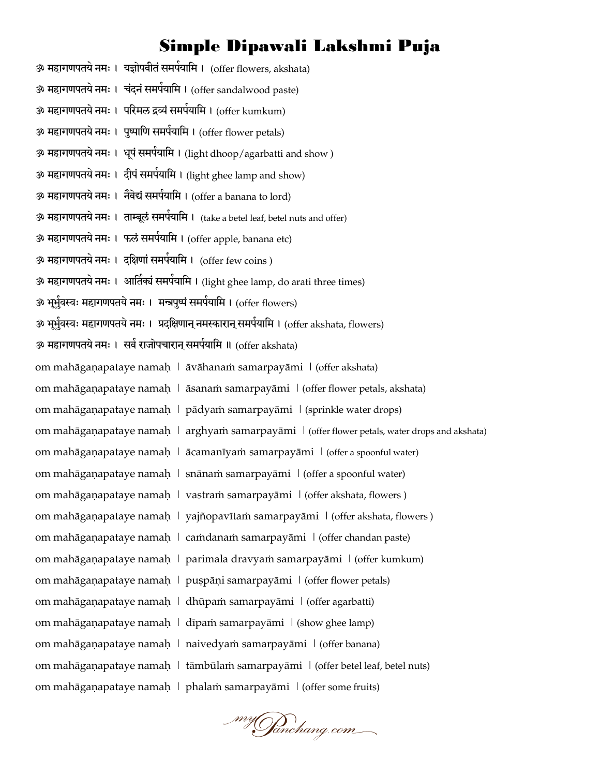ॐ महागणपतये नमः । यज्ञोपवीतं समर्पयामि । (offer flowers, akshata) ॐ महागणपतये नमः । चंदनं समर्पयामि । (offer sandalwood paste) ॐ महागणपतये नमः । परिमल द्रव्यं समर्पयामि । (offer kumkum) ॐ महागणपतये नमः । पुष्पाणि समर्पयामि । (offer flower petals) ॐ महागणपतये नमः । धूपं समर्पयामि । (light dhoop/agarbatti and show ) ॐ महागणपतये नमः । दीपं समर्पयामि । (light ghee lamp and show) ॐ महागणपतये नमः । नैवेद्यं समर्पयामि । (offer a banana to lord) ॐ महागणपतये नमः । ताम्बूलं समर्पयामि । (take a betel leaf, betel nuts and offer) ॐ महागणपतये नमः । फलं समर्पयामि । (offer apple, banana etc) ॐ महागणपतये नमः । दक्षिणां समर्पयामि । (offer few coins ) ॐ महागणपतये नमः । आर्तिक्यं समर्पयामि । (light ghee lamp, do arati three times) ॐ भूर्भुवस्वः महागणपतये नमः । मन्त्रपुष्पं समर्पयामि । (offer flowers) ॐ भूर्भुवस्वः महागणपतये नमः । प्रदक्षिणान् नमस्कारान् समर्पयामि । (offer akshata, flowers) ॐ महागणपतये नमः । सर्व राजोपचारान् समर्पयामि ॥ (offer akshata) om mahāgaṇapataye namaḥ | āvāhanaṁ samarpayāmi | (offer akshata) om mahāgaṇapataye namaḥ | āsanaṁ samarpayāmi | (offer flower petals, akshata) om mahāgaṇapataye namaḥ | pādyaṁ samarpayāmi | (sprinkle water drops) om mahāgaṇapataye namaḥ | arghyaṁ samarpayāmi | (offer flower petals, water drops and akshata) om mahāgaṇapataye namaḥ | ācamanīyaṁ samarpayāmi | (offer a spoonful water) om mahāgaṇapataye namaḥ | snānaṁ samarpayāmi | (offer a spoonful water) om mahāgaṇapataye namaḥ | vastraṁ samarpayāmi | (offer akshata, flowers ) om mahāgaṇapataye namaḥ | yajñopavītaṁ samarpayāmi | (offer akshata, flowers ) om mahāgaṇapataye namaḥ | caṁdanaṁ samarpayāmi | (offer chandan paste) om mahāgaṇapataye namaḥ | parimala dravyaṁ samarpayāmi | (offer kumkum) om mahāgaṇapataye namaḥ | puṣpāṇi samarpayāmi | (offer flower petals) om mahāgaṇapataye namaḥ | dhūpaṁ samarpayāmi | (offer agarbatti) om mahāgaṇapataye namaḥ | dīpaṁ samarpayāmi | (show ghee lamp) om mahāgaṇapataye namaḥ | naivedyaṁ samarpayāmi | (offer banana) om mahāgaṇapataye namaḥ | tāmbūlaṁ samarpayāmi | (offer betel leaf, betel nuts) om mahāgaṇapataye namaḥ | phalaṁ samarpayāmi | (offer some fruits)

\_myGanchang.com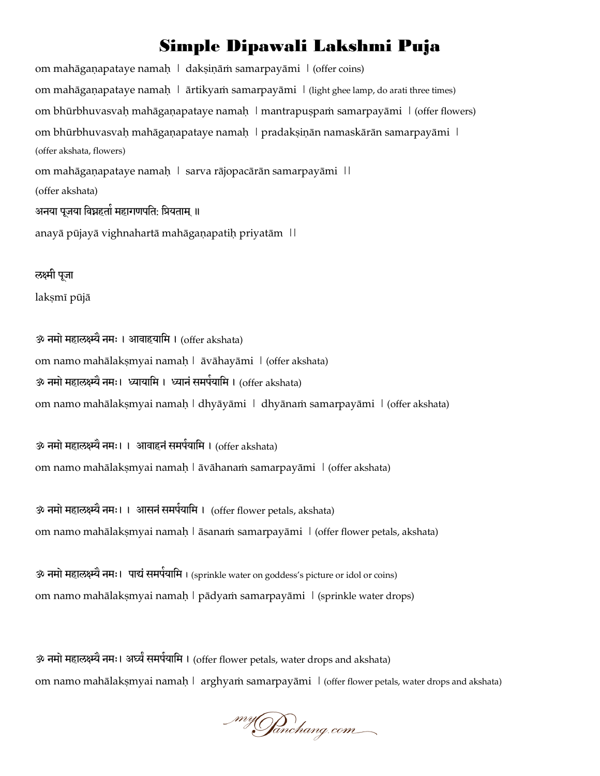om mahāgaṇapataye namaḥ | dakṣiṇāṁ samarpayāmi | (offer coins) om mahāgaṇapataye namaḥ | ārtikyaṁ samarpayāmi | (light ghee lamp, do arati three times) om bhūrbhuvasvaḥ mahāgaṇapataye namaḥ | mantrapuṣpaṁ samarpayāmi | (offer flowers) om bhūrbhuvasvaḥ mahāgaṇapataye namaḥ | pradakṣiṇān namaskārān samarpayāmi | (offer akshata, flowers) om mahāgaṇapataye namaḥ | sarva rājopacārān samarpayāmi || (offer akshata) अनया पूजया विघ्नहर्ता महागणपति: प्रियताम् ॥ anayā pūjayā vighnahartā mahāgaṇapatiḥ priyatām ||

रुक्ष्मी पूजा laksmī pūjā

ॐ नमो महालक्ष्म्यै नमः । आवाहयामि । (offer akshata) om namo mahālakṣmyai namaḥ | āvāhayāmi | (offer akshata) ॐ नमो महालक्ष्म्यै नमः। ध्यायामि । ध्यानं समर्पयामि । (offer akshata) om namo mahālakṣmyai namaḥ | dhyāyāmi | dhyānaṁ samarpayāmi | (offer akshata)

ॐ नमो महालक्ष्म्यै नमः। । आवाहनं समर्पयामि । (offer akshata) om namo mahālakṣmyai namaḥ | āvāhanaṁ samarpayāmi | (offer akshata)

ॐ नमो महालक्ष्म्यै नमः। । आसनं समर्पयामि । (offer flower petals, akshata) om namo mahālakṣmyai namaḥ | āsanaṁ samarpayāmi | (offer flower petals, akshata)

ॐ नमो महालक्ष्म्यै नमः। पाद्यं समर्पयामि । (sprinkle water on goddess's picture or idol or coins) om namo mahālakṣmyai namaḥ | pādyaṁ samarpayāmi | (sprinkle water drops)

ॐ नमो महालक्ष्म्यै नमः। अर्घ्यं समर्पयामि । (offer flower petals, water drops and akshata) om namo mahālakṣmyai namaḥ | arghyaṁ samarpayāmi | (offer flower petals, water drops and akshata)

\_my**Ja**nchang.com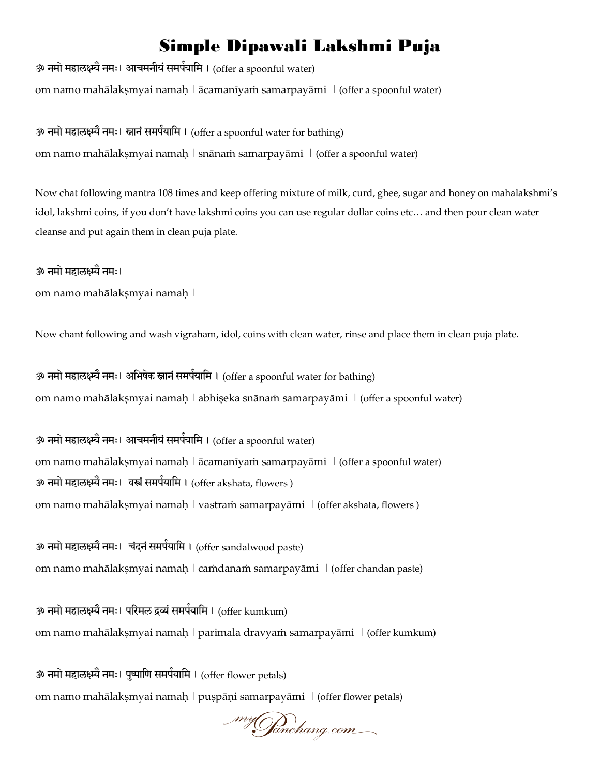ॐ नमो महालक्ष्म्यै नमः। आचमनीयं समर्पयामि । (offer a spoonful water) om namo mahālakṣmyai namaḥ | ācamanīyaṁ samarpayāmi | (offer a spoonful water)

ॐ नमो महालक्ष्म्यै नमः। स्नानं समर्पयामि । (offer a spoonful water for bathing) om namo mahālakṣmyai namaḥ | snānaṁ samarpayāmi | (offer a spoonful water)

Now chat following mantra 108 times and keep offering mixture of milk, curd, ghee, sugar and honey on mahalakshmi's idol, lakshmi coins, if you don't have lakshmi coins you can use regular dollar coins etc… and then pour clean water cleanse and put again them in clean puja plate.

#### ॐ नभो भहारक्ष्म्यैनभ्।

om namo mahālakṣmyai namaḥ |

Now chant following and wash vigraham, idol, coins with clean water, rinse and place them in clean puja plate.

ॐ नमो महालक्ष्म्यै नमः। अभिषेक स्नानं समर्पयामि । (offer a spoonful water for bathing) om namo mahālakṣmyai namaḥ | abhiṣeka snānaṁ samarpayāmi | (offer a spoonful water)

ॐ नमो महालक्ष्म्यै नमः। आचमनीयं समर्पयामि । (offer a spoonful water) om namo mahālakṣmyai namaḥ | ācamanīyaṁ samarpayāmi | (offer a spoonful water) ॐ नमो महालक्ष्म्यै नमः। वस्त्रं समर्पयामि । (offer akshata, flowers ) om namo mahālakṣmyai namaḥ | vastraṁ samarpayāmi | (offer akshata, flowers)

ॐ नमो महालक्ष्म्यै नमः। चंदनं समर्पयामि । (offer sandalwood paste) om namo mahālakṣmyai namaḥ | caṁdanaṁ samarpayāmi | (offer chandan paste)

ॐ नमो महालक्ष्म्यै नमः। परिमल द्रव्यं समर्पयामि । (offer kumkum) om namo mahālakṣmyai namaḥ | parimala dravyaṁ samarpayāmi | (offer kumkum)

ॐ नमो महालक्ष्म्यै नमः। पुष्पाणि समर्पयामि । (offer flower petals) om namo mahālakṣmyai namaḥ | puṣpāṇi samarpayāmi | (offer flower petals)

myGanchang.com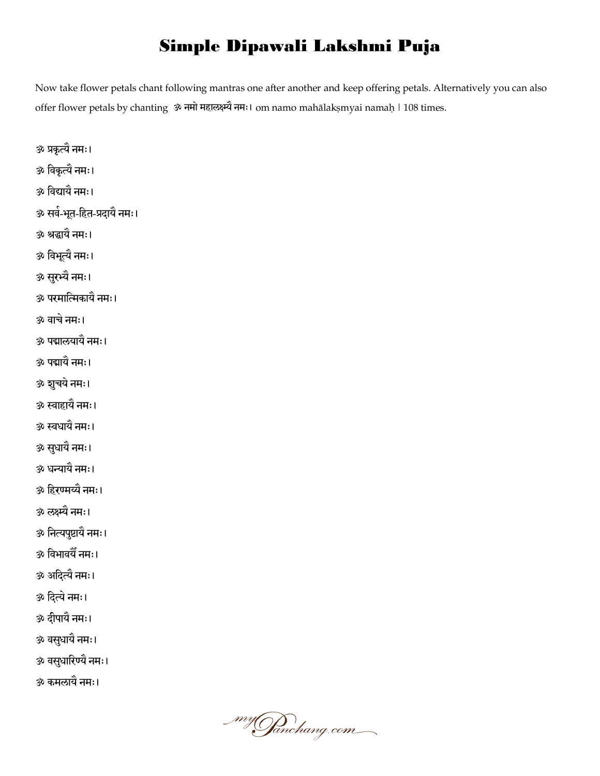Now take flower petals chant following mantras one after another and keep offering petals. Alternatively you can also offer flower petals by chanting ॐ नभो भहारक्ष्म्यैनभ्। om namo mahālakṣmyai namaḥ | 108 times.

- ॐ प्रकृत्यैनभ्।
- ॐ नर्वकृत्यैनभ्।
- ॐ नर्वद्यामैनभ्।
- ॐ सर्व-िबतू-नहत-प्रदामैनभ्।
- ॐ श्रद्धामैनभ्।
- ॐ नर्वबत्यू ैनभ्।
- ॐ सयुभ्यैनभ्।
- ॐ ऩयभानत्मकामैनभ्।
- ॐ र्वाचेनभ्।
- ॐ ऩद्मारमामैनभ्।
- ॐ ऩद्मामैनभ्।
- ॐ शचुमेनभ्।
- ॐ स्वाहामैनभ्।
- ॐ स्वधामैनभ्।
- ॐ सधुामैनभ्।
- ॐ धन्यामैनभ्।
- ॐ नहयण्भय्यैनभ्।
- ॐ रक्ष्म्यैनभ्।
- ॐ ननत्यऩष्टुामैनभ्।
- ॐ नर्वबार्वमैनभ्।
- ॐ अनदत्यैनभ्।
- ॐ नदत्येनभ्।
- ॐ दीऩामैनभ्।
- ॐ र्वसधुामैनभ्।
- ॐ र्वसधुानयण्मैनभ्।
- ॐ कभरामैनभ्।

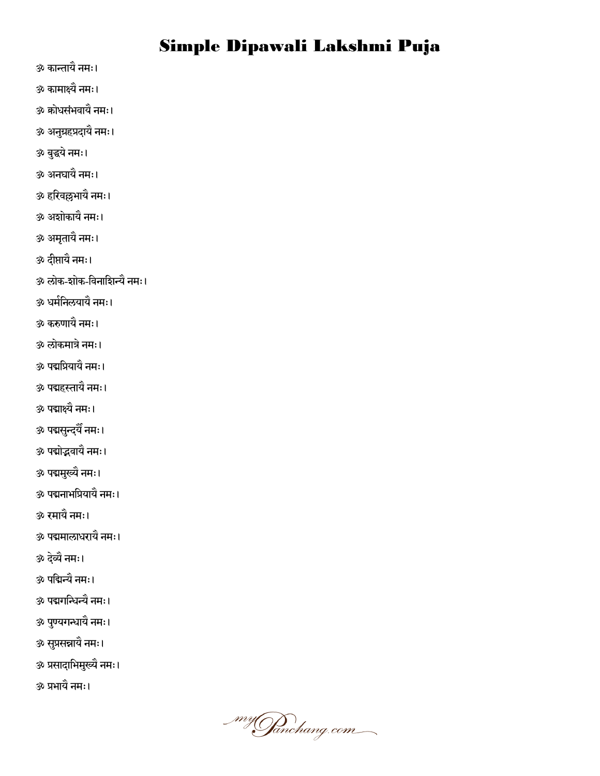- ॐ कान्तामैनभ्।
- ॐ काभाक्ष्यैनभ्।  $\hat{\textbf{\textit{\}}}$  क्रोधसंभवायै नमः।
- ॐ अनग्रुहप्रदामैनभ्।
- ॐ फद्धुमेनभ्।
- ॐ अनघामैनभ्।
- ॐ हनयर्वल्लबामैनभ्।
- ॐ अशोकामैनभ्।
- <u>ॐ अमृता</u>यै नमः।
- ॐ दीप्तायै नमः।
- ॐ रोक-शोक-नर्वनानशन्यैनभ्।
- ॐ धभनिनरमामैनभ्।
- ॐ करुणामैनभ्।
- ॐ रोकभािेनभ्।
- ॐ ऩद्मनप्रमामैनभ्।
- ॐ ऩद्महस्तामैनभ्।
- ॐ ऩद्माक्ष्यैनभ्।
- ॐ पद्मसुन्द्यैँ नमः।
- ॐ ऩद्मोद्भर्वामैनभ्।
- ॐ ऩद्मभख्यु ैनभ्।
- ॐ ऩद्मनाबनप्रमामैनभ्।
- ॐ यभामैनभ्।
- ॐ ऩद्मभाराधयामैनभ्।
- ॐ दव्ये ैनभ्।
- ॐ ऩनद्मन्यैनभ्।
- ॐ ऩद्मगनिन्यैनभ्।
- ॐ पुण्यगन्धायै नमः।
- ॐ सप्रुसन्नामैनभ्।
- ॐ प्रसादाभिमुख्यै नमः।
- ॐ प्रबामैनभ्।

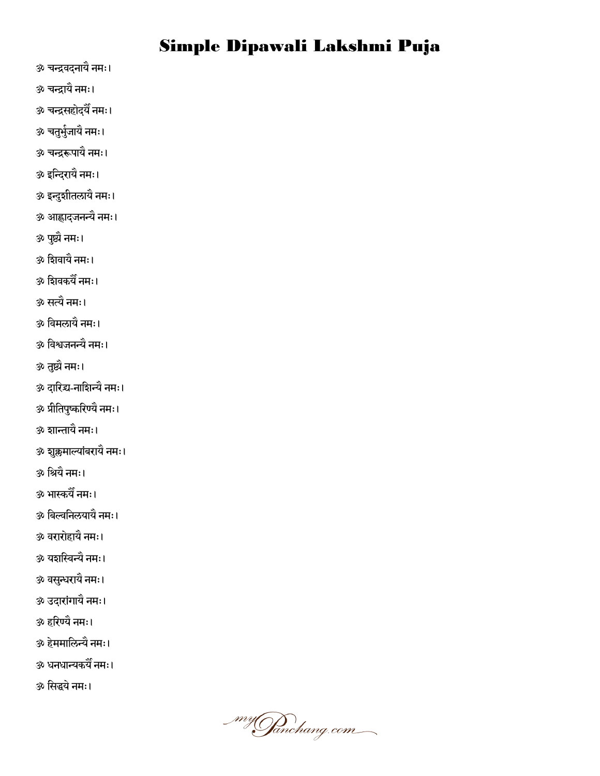- ॐ चन्द्रर्वदनामैनभ्।
- ॐ चन्द्रामैनभ्।
- ॐ चन्द्रसहोदमैनभ्।
- ॐ चतुर्भुजायै नमः।
- ॐ चन्द्ररूऩामैनभ्।
- ॐ इनन्दयामैनभ्।
- ॐ इन्दुशीतरामैनभ्।
- ॐ आह्लादजनन्यैनभ्।
- ॐ ऩष्ट्यु ैनभ्।
- ॐ नशर्वामैनभ्।
- ॐ नशर्वकमैनभ्।
- ॐ सत्यैनभ्।
- .<br>ॐ विमलायै नमः।
- ॐ नर्वश्वजनन्यैनभ्।
- ॐ तष्ट्यु ैनभ्।
- ॐ दानयद्र्य-नानशन्यैनभ्।
- ॐ प्रीतिपुष्करिण्यै नमः।
- ॐ शान्तामैनभ्।
- ॐ शुक्लमाल्यांबरायै नमः।
- ॐ नश्रमैनभ्।
- ॐ बास्कमैनभ्।
- ॐ नफल्वननरमामैनभ्।
- ॐ र्वयायोहामैनभ्।
- ॐ मशनस्वन्यैनभ्।
- ॐ वसुन्धरायै नमः।
- <u>ॐ उदारांगायै नमः।</u>
- ॐ हनयण्मैनभ्।
- ॐ हेममालिन्यै नमः।
- ॐ धनधान्यकमैनभ्।
- ॐ नसद्धमेनभ्।

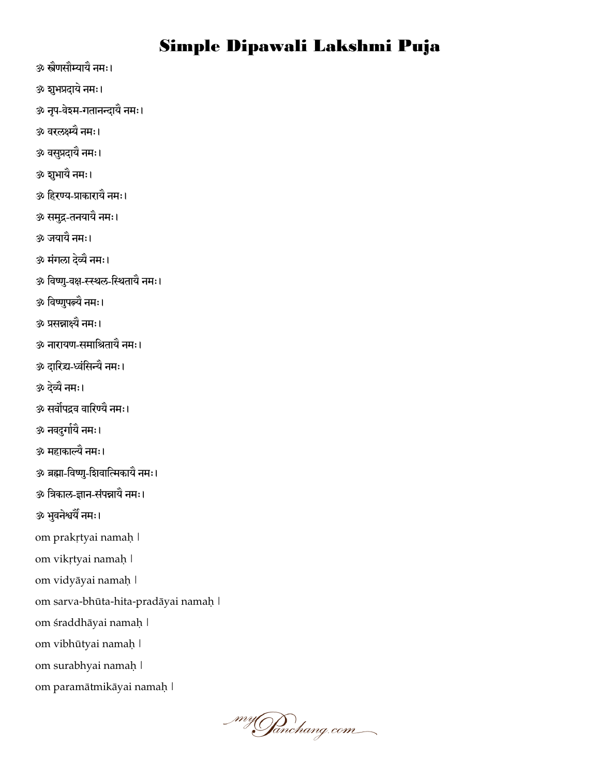- ॐ स्त्रणैसौम्यामैनभ्।
- ॐ शुभप्रदाये नमः।
- ॐ नृप-वेश्म-गतानन्दायै नमः।
- ॐ र्वयरक्ष्म्यैनभ्।
- ॐ र्वसप्रुदामैनभ्।
- ॐ शुभायै नमः।
- ॐ नहयण्म-प्राकायामैनभ्।
- ॐ सभद्रु-तनमामैनभ्।
- ॐ जमामैनभ्।
- <u>ॐ मंगला देव्यै नमः।</u>
- ॐ विष्णु-वक्ष-स्स्थल-स्थितायै नमः।
- ॐ नर्वष्णऩुत्न्यैनभ्।
- ॐ प्रसन्नाक्ष्यैनभ्।
- ॐ नायामण-सभानश्रतामैनभ्।
- .<br>ॐ दारिद्य-ध्वंसिन्यै नमः।
- ॐ दव्ये ैनभ्।
- ॐ सर्वोपद्रव वारिण्यै नमः।
- ॐ नर्वदुगामि ैनभ्।
- ॐ भहाकाल्यैनभ्।
- ॐ ब्रह्मा-नर्वष्ण-ुनशर्वानत्मकामैनभ्।
- ॐ त्रिकाल-ज्ञान-संपन्नायै नमः।
- ॐ भुवनेश्वर्यै नमः।
- om prakṛtyai namaḥ |
- om vikṛtyai namaḥ |
- om vidyāyai namaḥ |
- om sarva-bhūta-hita-pradāyai namaḥ |
- om śraddhāyai namaḥ |
- om vibhūtyai namaḥ |
- om surabhyai namaḥ |
- om paramātmikāyai namaḥ |

\_my**Janchang**.com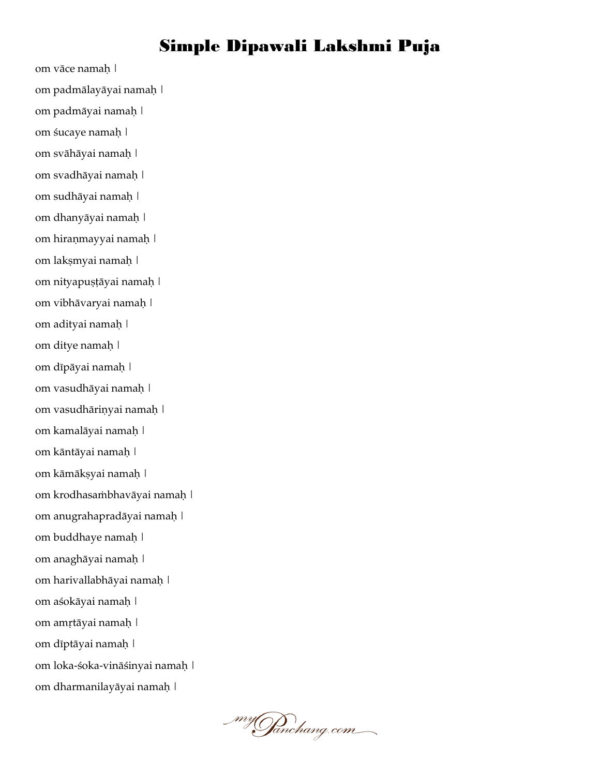om vāce namaḥ | om padmālayāyai namaḥ | om padmāyai namaḥ | om śucaye namaḥ | om svāhāyai namaḥ | om svadhāyai namaḥ | om sudhāyai namaḥ | om dhanyāyai namaḥ | om hiraṇmayyai namaḥ | om lakṣmyai namaḥ | om nityapuṣṭāyai namaḥ | om vibhāvaryai namaḥ | om adityai namaḥ | om ditye namaḥ | om dīpāyai namaḥ | om vasudhāyai namaḥ | om vasudhāriṇyai namaḥ | om kamalāyai namaḥ | om kāntāyai namaḥ | om kāmākṣyai namaḥ | om krodhasaṁbhavāyai namaḥ | om anugrahapradāyai namaḥ | om buddhaye namaḥ | om anaghāyai namaḥ | om harivallabhāyai namaḥ | om aśokāyai namaḥ | om amṛtāyai namaḥ | om dīptāyai namaḥ | om loka-śoka-vināśinyai namaḥ | om dharmanilayāyai namaḥ |

\_my**Janchang**.com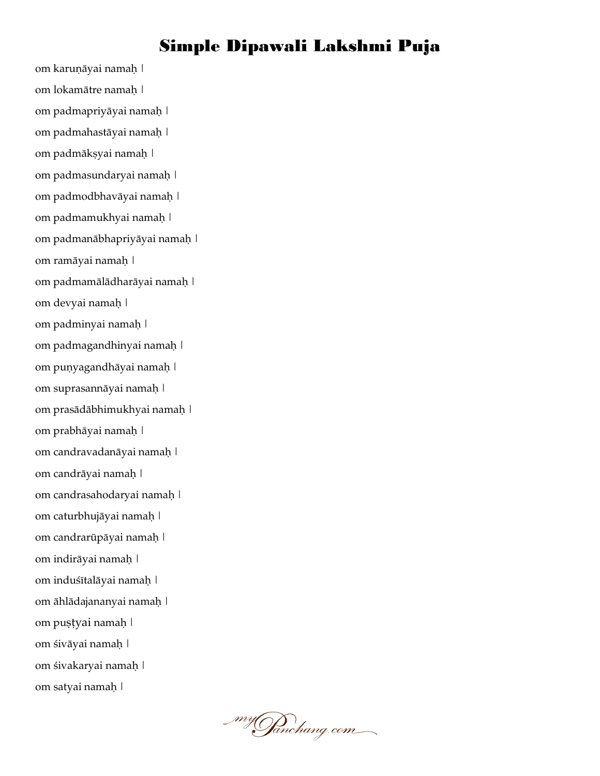om karuṇāyai namaḥ | om lokamātre namaḥ | om padmapriyāyai namaḥ | om padmahastāyai namaḥ | om padmākṣyai namaḥ | om padmasundaryai namaḥ | om padmodbhavāyai namaḥ | om padmamukhyai namaḥ | om padmanābhapriyāyai namaḥ | om ramāyai namaḥ | om padmamālādharāyai namaḥ | om devyai namaḥ | om padminyai namaḥ | om padmagandhinyai namaḥ | om puṇyagandhāyai namaḥ | om suprasannāyai namaḥ | om prasādābhimukhyai namaḥ | om prabhāyai namaḥ | om candravadanāyai namaḥ | om candrāyai namaḥ | om candrasahodaryai namaḥ | om caturbhujāyai namaḥ | om candrarūpāyai namaḥ | om indirāyai namaḥ | om induśītalāyai namaḥ | om āhlādajananyai namaḥ | om puṣṭyai namaḥ | om śivāyai namaḥ | om śivakaryai namaḥ | om satyai namaḥ |

\_my**Janchang**.com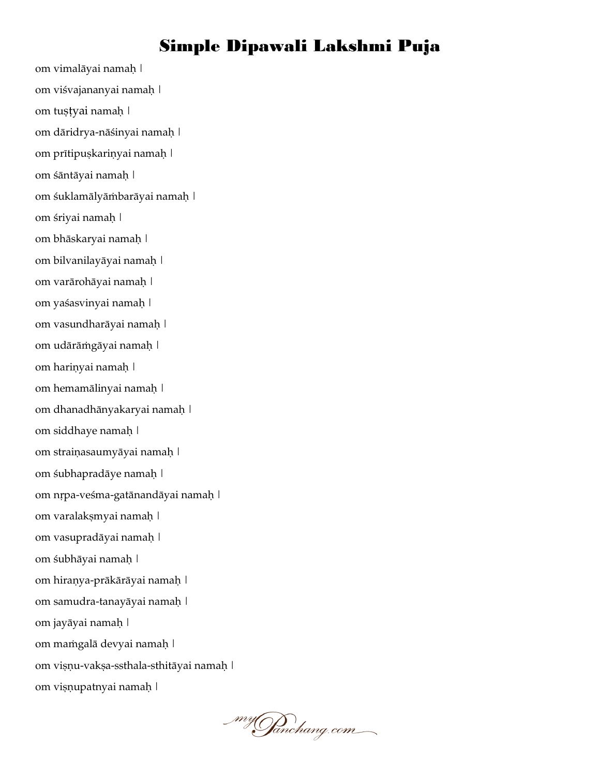om vimalāyai namaḥ | om viśvajananyai namaḥ | om tuṣṭyai namaḥ | om dāridrya-nāśinyai namaḥ | om prītipuṣkariṇyai namaḥ | om śāntāyai namaḥ | om śuklamālyāṁbarāyai namaḥ | om śriyai namaḥ | om bhāskaryai namaḥ | om bilvanilayāyai namaḥ | om varārohāyai namaḥ | om yaśasvinyai namaḥ | om vasundharāyai namaḥ | om udārāṁgāyai namaḥ | om hariṇyai namaḥ | om hemamālinyai namaḥ | om dhanadhānyakaryai namaḥ | om siddhaye namaḥ | om straiṇasaumyāyai namaḥ | om śubhapradāye namaḥ | om nṛpa-veśma-gatānandāyai namaḥ | om varalakṣmyai namaḥ | om vasupradāyai namaḥ | om śubhāyai namaḥ | om hiraṇya-prākārāyai namaḥ | om samudra-tanayāyai namaḥ | om jayāyai namaḥ | om maṁgalā devyai namaḥ | om viṣṇu-vakṣa-ssthala-sthitāyai namaḥ | om viṣṇupatnyai namaḥ |

\_my**Ja**nchang.com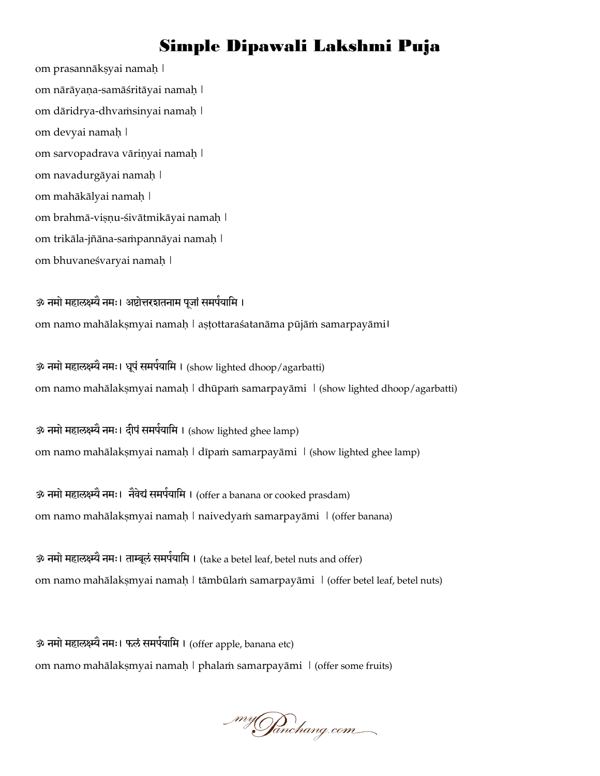om prasannākṣyai namaḥ | om nārāyaṇa-samāśritāyai namaḥ | om dāridrya-dhvaṁsinyai namaḥ | om devyai namaḥ | om sarvopadrava vāriṇyai namaḥ | om navadurgāyai namaḥ | om mahākālyai namaḥ | om brahmā-viṣṇu-śivātmikāyai namaḥ | om trikāla-jñāna-saṁpannāyai namaḥ | om bhuvaneśvaryai namaḥ |

ॐ नमो महालक्ष्म्यै नमः। अष्टोत्तरशतनाम पूजां समर्पयामि । om namo mahālakṣmyai namaḥ | aṣṭottaraśatanāma pūjāṁ samarpayāmi।

ॐ नमो महालक्ष्म्यै नमः। धूपं समर्पयामि । (show lighted dhoop/agarbatti) om namo mahālakṣmyai namaḥ | dhūpaṁ samarpayāmi | (show lighted dhoop/agarbatti)

ॐ नमो महालक्ष्म्यै नमः। दीपं समर्पयामि । (show lighted ghee lamp) om namo mahālakṣmyai namaḥ | dīpaṁ samarpayāmi | (show lighted ghee lamp)

ॐ नमो महालक्ष्म्यै नमः। नैवेद्यं समर्पयामि । (offer a banana or cooked prasdam) om namo mahālakṣmyai namaḥ | naivedyaṁ samarpayāmi | (offer banana)

ॐ नमो महालक्ष्म्यै नमः। ताम्बूलं समर्पयामि । (take a betel leaf, betel nuts and offer) om namo mahālakṣmyai namaḥ | tāmbūlaṁ samarpayāmi | (offer betel leaf, betel nuts)

ॐ नमो महालक्ष्म्यै नमः। फलं समर्पयामि । (offer apple, banana etc) om namo mahālakṣmyai namaḥ | phalaṁ samarpayāmi | (offer some fruits)

my Janchang.com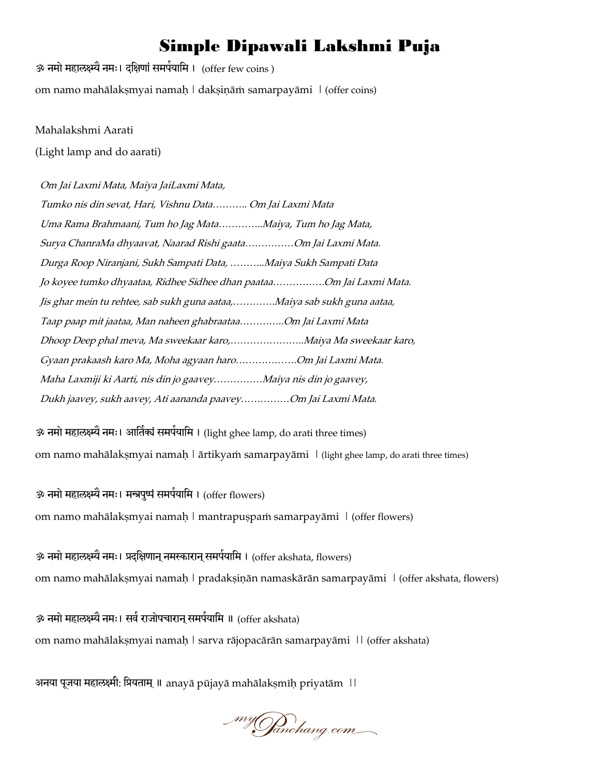ॐ नमो महालक्ष्म्यै नमः। दक्षिणां समर्पयामि । (offer few coins ) om namo mahālakṣmyai namaḥ | dakṣiṇāṁ samarpayāmi | (offer coins)

#### Mahalakshmi Aarati

(Light lamp and do aarati)

Om Jai Laxmi Mata, Maiya JaiLaxmi Mata,

| Tumko nis din sevat, Hari, Vishnu Data Om Jai Laxmi Mata                |  |  |  |  |
|-------------------------------------------------------------------------|--|--|--|--|
| Uma Rama Brahmaani, Tum ho Jag MataMaiya, Tum ho Jag Mata,              |  |  |  |  |
| Surya ChanraMa dhyaavat, Naarad Rishi gaataOm Jai Laxmi Mata.           |  |  |  |  |
| Durga Roop Niranjani, Sukh Sampati Data, Maiya Sukh Sampati Data        |  |  |  |  |
| Jo koyee tumko dhyaataa, Ridhee Sidhee dhan paataaOm Jai Laxmi Mata.    |  |  |  |  |
| Jis ghar mein tu rehtee, sab sukh guna aataa,Maiya sab sukh guna aataa, |  |  |  |  |
| Taap paap mit jaataa, Man naheen ghabraataaOm Jai Laxmi Mata            |  |  |  |  |
| Dhoop Deep phal meva, Ma sweekaar karo,Maiya Ma sweekaar karo,          |  |  |  |  |
| Gyaan prakaash karo Ma, Moha agyaan haroOm Jai Laxmi Mata.              |  |  |  |  |
| Maha Laxmiji ki Aarti, nis din jo gaaveyMaiya nis din jo gaavey,        |  |  |  |  |
| Dukh jaavey, sukh aavey, Ati aananda paaveyOm Jai Laxmi Mata.           |  |  |  |  |

ॐ नमो महालक्ष्म्यै नमः। आर्तिक्यं समर्पयामि । (light ghee lamp, do arati three times) om namo mahālakṣmyai namaḥ | ārtikyaṁ samarpayāmi | (light ghee lamp, do arati three times)

ॐ नमो महालक्ष्म्यै नमः। मन्त्रपुष्पं समर्पयामि । (offer flowers) om namo mahālakṣmyai namaḥ | mantrapuṣpaṁ samarpayāmi | (offer flowers)

ॐ नमो महालक्ष्म्यै नमः। प्रदक्षिणान् नमस्कारान् समर्पयामि । (offer akshata, flowers) om namo mahālakṣmyai namaḥ | pradakṣiṇān namaskārān samarpayāmi | (offer akshata, flowers)

ॐ नमो महालक्ष्म्यै नमः। सर्व राजोपचारान् समर्पयामि ॥ (offer akshata) om namo mahālakṣmyai namaḥ | sarva rājopacārān samarpayāmi || (offer akshata)

अनया पूजया महालक्ष्मी: प्रियताम् ॥ anayā pūjayā mahālakṣmīḥ priyatām ||

\_my**Ja**nchang.com